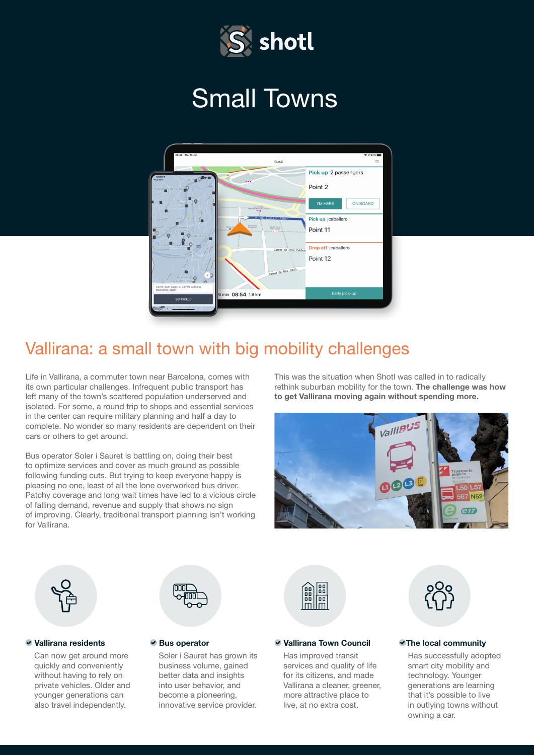

# Small Towns



## Vallirana: a small town with big mobility challenges

Life in Vallirana, a commuter town near Barcelona, comes with its own particular challenges. Infrequent public transport has left many of the town's scattered population underserved and isolated. For some, a round trip to shops and essential services in the center can require military planning and half a day to complete. No wonder so many residents are dependent on their cars or others to get around.

Bus operator Soler i Sauret is battling on, doing their best to optimize services and cover as much ground as possible following funding cuts. But trying to keep everyone happy is pleasing no one, least of all the lone overworked bus driver. Patchy coverage and long wait times have led to a vicious circle of falling demand, revenue and supply that shows no sign of improving. Clearly, traditional transport planning isn't working for Vallirana.

This was the situation when Shotl was called in to radically rethink suburban mobility for the town. The challenge was how to get Vallirana moving again without spending more.





### Vallirana residents

Can now get around more quickly and conveniently without having to rely on private vehicles. Older and younger generations can also travel independently.



### ● Bus operator

Soler i Sauret has grown its business volume, gained better data and insights into user behavior, and become a pioneering, innovative service provider.



### Vallirana Town Council

Has improved transit services and quality of life for its citizens, and made Vallirana a cleaner, greener, more attractive place to live, at no extra cost.



### The local community

Has successfully adopted smart city mobility and technology. Younger generations are learning that it's possible to live in outlying towns without owning a car.